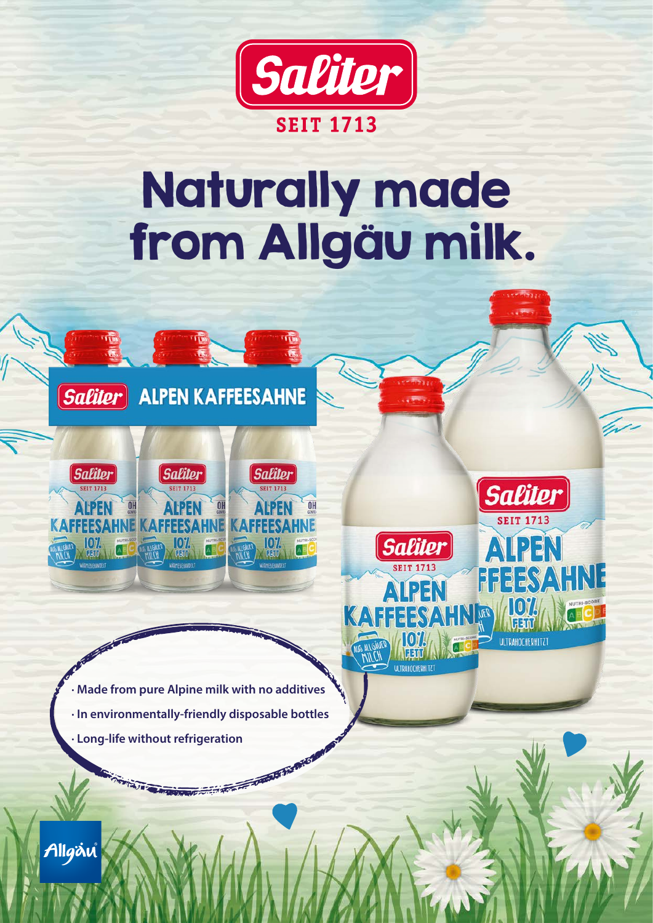

## Naturally made from Allgäu milk.

**Saliter** 

**ALPEN** 

**HOL** 

**ULTRAHOCHERHITZT** 

UER

FFEESAHNE

**Saliter** 



**Saliter** 

Charles Court Card Card

**· Made from pure Alpine milk with no additives · In environmentally-friendly disposable bottles · Long-life without refrigeration**STATES OF THE MAIN STATES OF THE WAY

Allgäu